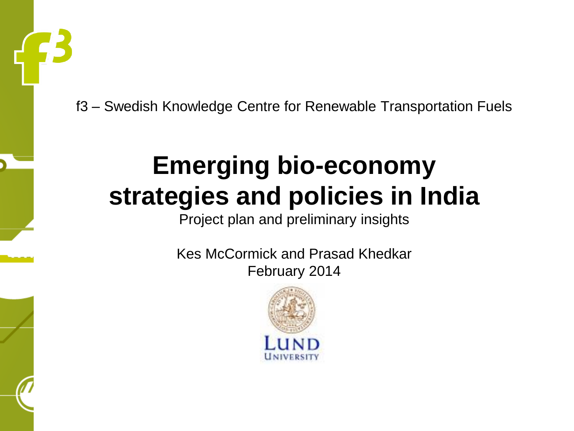f3 – Swedish Knowledge Centre for Renewable Transportation Fuels

#### **Emerging bio-economy strategies and policies in India**

Project plan and preliminary insights

Kes McCormick and Prasad Khedkar February 2014

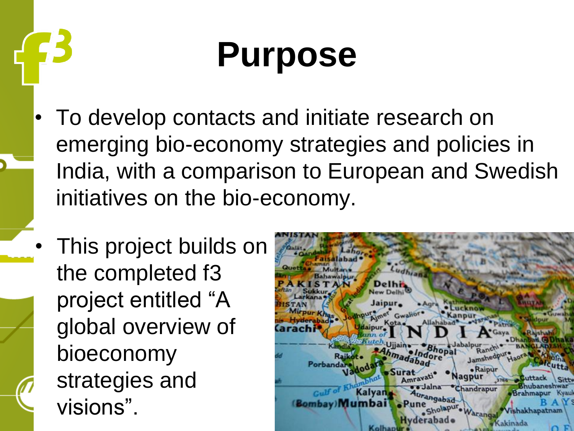### **Purpose**

- To develop contacts and initiate research on emerging bio-economy strategies and policies in India, with a comparison to European and Swedish initiatives on the bio-economy.
- This project builds on the completed f3 project entitled "A global overview of bioeconomy strategies and visions".

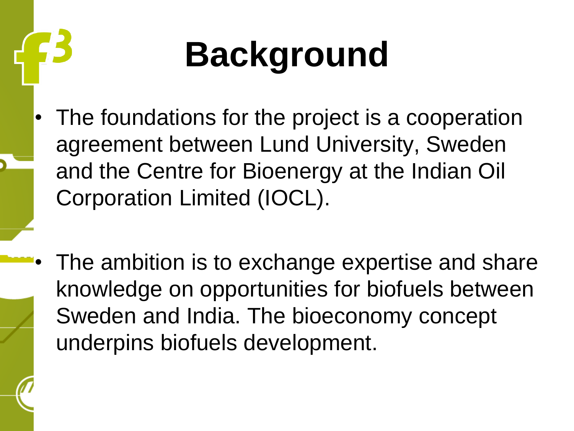## **Background**

- The foundations for the project is a cooperation agreement between Lund University, Sweden and the Centre for Bioenergy at the Indian Oil Corporation Limited (IOCL).
- The ambition is to exchange expertise and share knowledge on opportunities for biofuels between Sweden and India. The bioeconomy concept underpins biofuels development.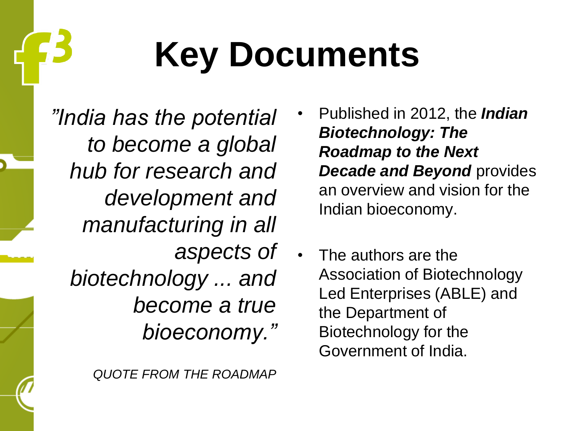### **Key Documents**

*"India has the potential to become a global hub for research and development and manufacturing in all aspects of biotechnology ... and become a true bioeconomy."*

- Published in 2012, the *Indian Biotechnology: The Roadmap to the Next Decade and Beyond provides* an overview and vision for the Indian bioeconomy.
- The authors are the Association of Biotechnology Led Enterprises (ABLE) and the Department of Biotechnology for the Government of India.

*QUOTE FROM THE ROADMAP*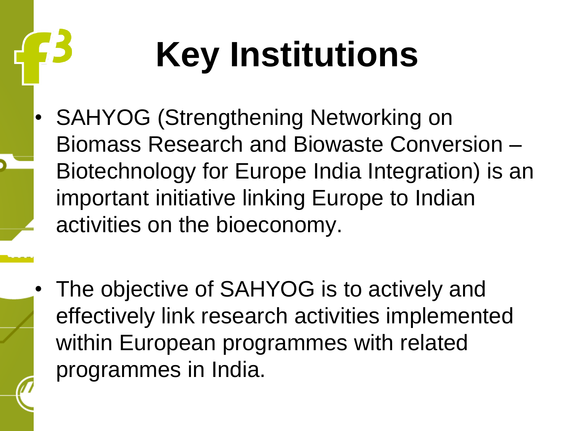# **Key Institutions**

- SAHYOG (Strengthening Networking on Biomass Research and Biowaste Conversion – Biotechnology for Europe India Integration) is an important initiative linking Europe to Indian activities on the bioeconomy.
- The objective of SAHYOG is to actively and effectively link research activities implemented within European programmes with related programmes in India.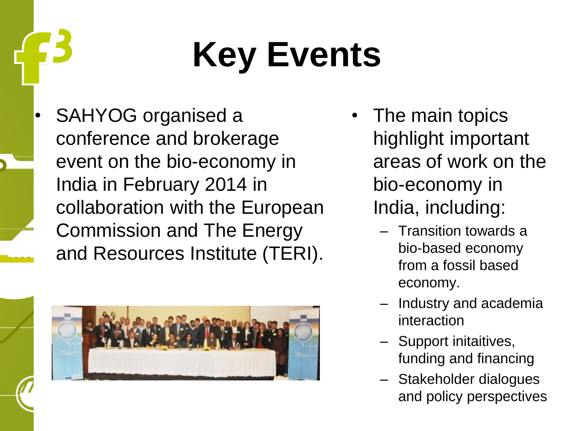## **Key Events**

• SAHYOG organised a conference and brokerage event on the bio-economy in India in February 2014 in collaboration with the European Commission and The Energy and Resources Institute (TERI).



- The main topics highlight important areas of work on the bio-economy in India, including:
	- Transition towards a bio-based economy from a fossil based economy.
	- Industry and academia interaction
	- Support initaitives, funding and financing
	- Stakeholder dialogues and policy perspectives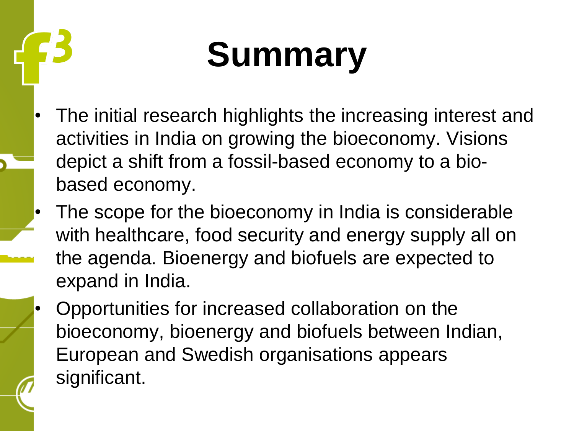## **Summary**

- The initial research highlights the increasing interest and activities in India on growing the bioeconomy. Visions depict a shift from a fossil-based economy to a biobased economy.
- The scope for the bioeconomy in India is considerable with healthcare, food security and energy supply all on the agenda. Bioenergy and biofuels are expected to expand in India.
- Opportunities for increased collaboration on the bioeconomy, bioenergy and biofuels between Indian, European and Swedish organisations appears significant.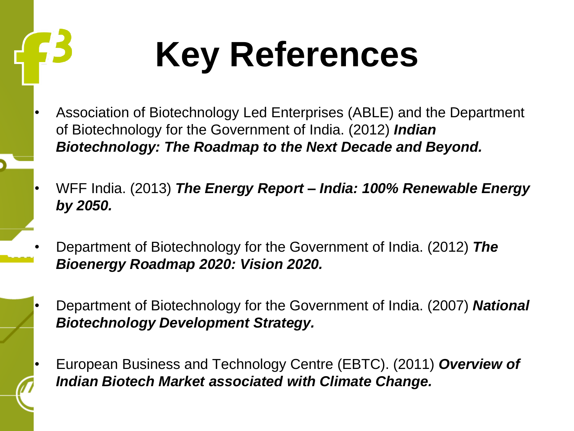**Key References**

- Association of Biotechnology Led Enterprises (ABLE) and the Department of Biotechnology for the Government of India. (2012) *Indian Biotechnology: The Roadmap to the Next Decade and Beyond.*
- WFF India. (2013) *The Energy Report – India: 100% Renewable Energy by 2050.*
- Department of Biotechnology for the Government of India. (2012) *The Bioenergy Roadmap 2020: Vision 2020.*
- Department of Biotechnology for the Government of India. (2007) *National Biotechnology Development Strategy.*
- European Business and Technology Centre (EBTC). (2011) *Overview of Indian Biotech Market associated with Climate Change.*